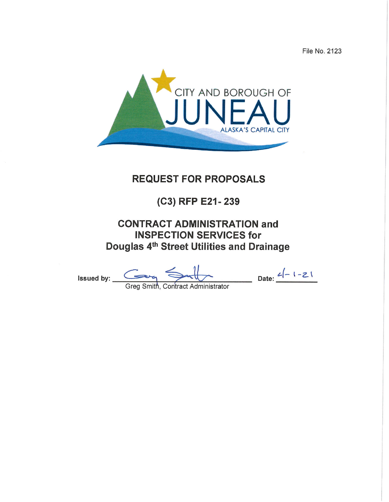File No. 2123



# **REQUEST FOR PROPOSALS**

# (C3) RFP E21-239

# **CONTRACT ADMINISTRATION and INSPECTION SERVICES for** Douglas 4th Street Utilities and Drainage

Issued by:  $Greg Smith, Contract Administrator$  Date:  $\frac{2(-1-21)}{2}$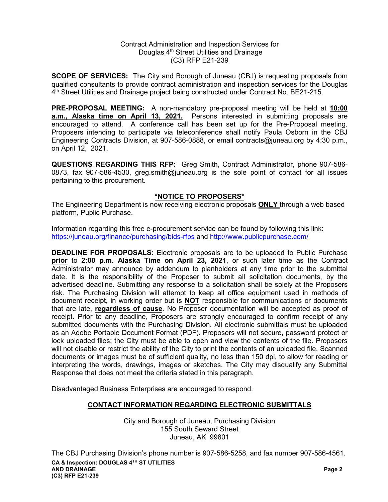#### Contract Administration and Inspection Services for Douglas 4<sup>th</sup> Street Utilities and Drainage (C3) RFP E21-239

**SCOPE OF SERVICES:** The City and Borough of Juneau (CBJ) is requesting proposals from qualified consultants to provide contract administration and inspection services for the Douglas 4th Street Utilities and Drainage project being constructed under Contract No. BE21-215.

**PRE-PROPOSAL MEETING:** A non-mandatory pre-proposal meeting will be held at **10:00 a.m., Alaska time on April 13, 2021.** Persons interested in submitting proposals are encouraged to attend. A conference call has been set up for the Pre-Proposal meeting. Proposers intending to participate via teleconference shall notify Paula Osborn in the CBJ Engineering Contracts Division, at 907-586-0888, or email contracts@juneau.org by 4:30 p.m., on April 12, 2021.

**QUESTIONS REGARDING THIS RFP:** Greg Smith, Contract Administrator, phone 907-586- 0873, fax 907-586-4530, greg.smith@juneau.org is the sole point of contact for all issues pertaining to this procurement.

## **\*NOTICE TO PROPOSERS\***

The Engineering Department is now receiving electronic proposals **ONLY** through a web based platform, Public Purchase.

Information regarding this free e-procurement service can be found by following this link: <https://juneau.org/finance/purchasing/bids-rfps> and<http://www.publicpurchase.com/>

**DEADLINE FOR PROPOSALS:** Electronic proposals are to be uploaded to Public Purchase **prior** to **2:00 p.m. Alaska Time on April 23, 2021**, or such later time as the Contract Administrator may announce by addendum to planholders at any time prior to the submittal date. It is the responsibility of the Proposer to submit all solicitation documents, by the advertised deadline. Submitting any response to a solicitation shall be solely at the Proposers risk. The Purchasing Division will attempt to keep all office equipment used in methods of document receipt, in working order but is **NOT** responsible for communications or documents that are late, **regardless of cause**. No Proposer documentation will be accepted as proof of receipt. Prior to any deadline, Proposers are strongly encouraged to confirm receipt of any submitted documents with the Purchasing Division. All electronic submittals must be uploaded as an Adobe Portable Document Format (PDF). Proposers will not secure, password protect or lock uploaded files; the City must be able to open and view the contents of the file. Proposers will not disable or restrict the ability of the City to print the contents of an uploaded file. Scanned documents or images must be of sufficient quality, no less than 150 dpi, to allow for reading or interpreting the words, drawings, images or sketches. The City may disqualify any Submittal Response that does not meet the criteria stated in this paragraph.

Disadvantaged Business Enterprises are encouraged to respond.

## **CONTACT INFORMATION REGARDING ELECTRONIC SUBMITTALS**

City and Borough of Juneau, Purchasing Division 155 South Seward Street Juneau, AK 99801

**CA & Inspection: DOUGLAS 4TH ST UTILITIES AND DRAINAGE Page 2 (C3) RFP E21-239** The CBJ Purchasing Division's phone number is 907-586-5258, and fax number 907-586-4561.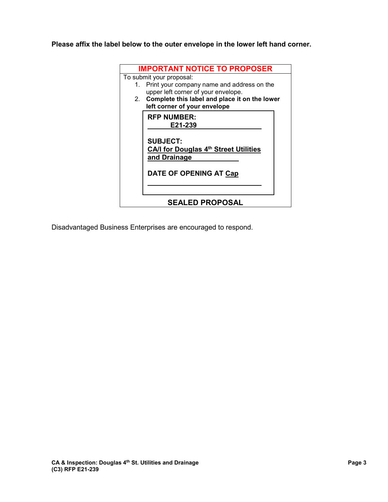**Please affix the label below to the outer envelope in the lower left hand corner.** 

| <b>IMPORTANT NOTICE TO PROPOSER</b>              |  |  |  |  |  |  |
|--------------------------------------------------|--|--|--|--|--|--|
| To submit your proposal:                         |  |  |  |  |  |  |
| Print your company name and address on the<br>1. |  |  |  |  |  |  |
| upper left corner of your envelope.              |  |  |  |  |  |  |
| 2. Complete this label and place it on the lower |  |  |  |  |  |  |
| left corner of your envelope                     |  |  |  |  |  |  |
| <b>RFP NUMBER:</b>                               |  |  |  |  |  |  |
| E21-239                                          |  |  |  |  |  |  |
|                                                  |  |  |  |  |  |  |
| <b>SUBJECT:</b>                                  |  |  |  |  |  |  |
| CA/I for Douglas 4th Street Utilities            |  |  |  |  |  |  |
| and Drainage                                     |  |  |  |  |  |  |
|                                                  |  |  |  |  |  |  |
|                                                  |  |  |  |  |  |  |
| <b>DATE OF OPENING AT Cap</b>                    |  |  |  |  |  |  |
|                                                  |  |  |  |  |  |  |
|                                                  |  |  |  |  |  |  |
| <b>SEALED PROPOSAL</b>                           |  |  |  |  |  |  |
|                                                  |  |  |  |  |  |  |

Disadvantaged Business Enterprises are encouraged to respond.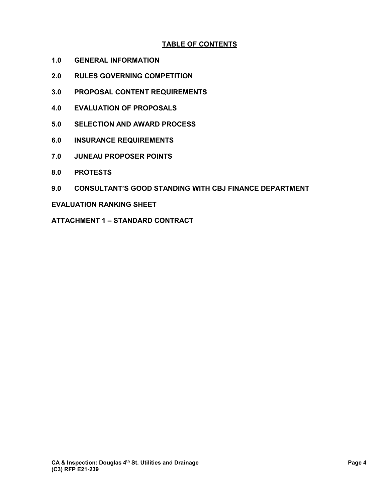# **TABLE OF CONTENTS**

- **1.0 GENERAL INFORMATION**
- **2.0 RULES GOVERNING COMPETITION**
- **3.0 PROPOSAL CONTENT REQUIREMENTS**
- **4.0 EVALUATION OF PROPOSALS**
- **5.0 SELECTION AND AWARD PROCESS**
- **6.0 INSURANCE REQUIREMENTS**
- **7.0 JUNEAU PROPOSER POINTS**
- **8.0 PROTESTS**
- **9.0 CONSULTANT'S GOOD STANDING WITH CBJ FINANCE DEPARTMENT**

#### **EVALUATION RANKING SHEET**

**ATTACHMENT 1 – STANDARD CONTRACT**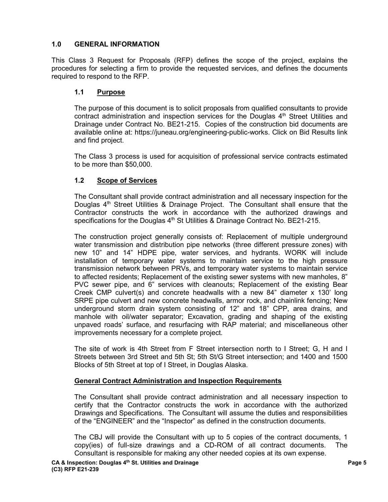# **1.0 GENERAL INFORMATION**

This Class 3 Request for Proposals (RFP) defines the scope of the project, explains the procedures for selecting a firm to provide the requested services, and defines the documents required to respond to the RFP.

## **1.1 Purpose**

The purpose of this document is to solicit proposals from qualified consultants to provide contract administration and inspection services for the Douglas  $4<sup>th</sup>$  Street Utilities and Drainage under Contract No. BE21-215. Copies of the construction bid documents are available online at: https://juneau.org/engineering-public-works. Click on Bid Results link and find project.

The Class 3 process is used for acquisition of professional service contracts estimated to be more than \$50,000.

# **1.2 Scope of Services**

The Consultant shall provide contract administration and all necessary inspection for the Douglas  $4<sup>th</sup>$  Street Utilities & Drainage Project. The Consultant shall ensure that the Contractor constructs the work in accordance with the authorized drawings and specifications for the Douglas 4<sup>th</sup> St Utilities & Drainage Contract No. BE21-215.

The construction project generally consists of: Replacement of multiple underground water transmission and distribution pipe networks (three different pressure zones) with new 10" and 14" HDPE pipe, water services, and hydrants. WORK will include installation of temporary water systems to maintain service to the high pressure transmission network between PRVs, and temporary water systems to maintain service to affected residents; Replacement of the existing sewer systems with new manholes, 8" PVC sewer pipe, and 6" services with cleanouts; Replacement of the existing Bear Creek CMP culvert(s) and concrete headwalls with a new 84" diameter x 130' long SRPE pipe culvert and new concrete headwalls, armor rock, and chainlink fencing; New underground storm drain system consisting of 12" and 18" CPP, area drains, and manhole with oil/water separator; Excavation, grading and shaping of the existing unpaved roads' surface, and resurfacing with RAP material; and miscellaneous other improvements necessary for a complete project.

The site of work is 4th Street from F Street intersection north to I Street; G, H and I Streets between 3rd Street and 5th St; 5th St/G Street intersection; and 1400 and 1500 Blocks of 5th Street at top of I Street, in Douglas Alaska.

## **General Contract Administration and Inspection Requirements**

The Consultant shall provide contract administration and all necessary inspection to certify that the Contractor constructs the work in accordance with the authorized Drawings and Specifications. The Consultant will assume the duties and responsibilities of the "ENGINEER" and the "Inspector" as defined in the construction documents.

The CBJ will provide the Consultant with up to 5 copies of the contract documents, 1 copy(ies) of full-size drawings and a CD-ROM of all contract documents. The Consultant is responsible for making any other needed copies at its own expense.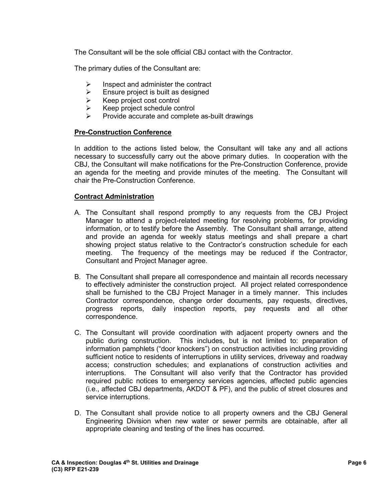The Consultant will be the sole official CBJ contact with the Contractor.

The primary duties of the Consultant are:

- $\triangleright$  Inspect and administer the contract
- $\triangleright$  Ensure project is built as designed
- $\triangleright$  Keep project cost control<br> $\triangleright$  Keep project schedule co
- Keep project schedule control
- $\triangleright$  Provide accurate and complete as-built drawings

## **Pre-Construction Conference**

In addition to the actions listed below, the Consultant will take any and all actions necessary to successfully carry out the above primary duties. In cooperation with the CBJ, the Consultant will make notifications for the Pre-Construction Conference, provide an agenda for the meeting and provide minutes of the meeting. The Consultant will chair the Pre-Construction Conference.

## **Contract Administration**

- A. The Consultant shall respond promptly to any requests from the CBJ Project Manager to attend a project-related meeting for resolving problems, for providing information, or to testify before the Assembly. The Consultant shall arrange, attend and provide an agenda for weekly status meetings and shall prepare a chart showing project status relative to the Contractor's construction schedule for each meeting. The frequency of the meetings may be reduced if the Contractor, Consultant and Project Manager agree.
- B. The Consultant shall prepare all correspondence and maintain all records necessary to effectively administer the construction project. All project related correspondence shall be furnished to the CBJ Project Manager in a timely manner. This includes Contractor correspondence, change order documents, pay requests, directives, progress reports, daily inspection reports, pay requests and all other correspondence.
- C. The Consultant will provide coordination with adjacent property owners and the public during construction. This includes, but is not limited to: preparation of information pamphlets ("door knockers") on construction activities including providing sufficient notice to residents of interruptions in utility services, driveway and roadway access; construction schedules; and explanations of construction activities and interruptions. The Consultant will also verify that the Contractor has provided required public notices to emergency services agencies, affected public agencies (i.e., affected CBJ departments, AKDOT & PF), and the public of street closures and service interruptions.
- D. The Consultant shall provide notice to all property owners and the CBJ General Engineering Division when new water or sewer permits are obtainable, after all appropriate cleaning and testing of the lines has occurred.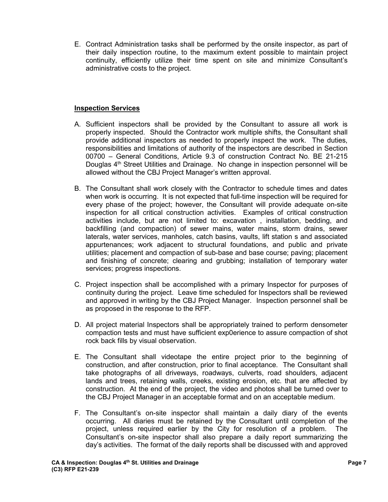E. Contract Administration tasks shall be performed by the onsite inspector, as part of their daily inspection routine, to the maximum extent possible to maintain project continuity, efficiently utilize their time spent on site and minimize Consultant's administrative costs to the project.

## **Inspection Services**

- A. Sufficient inspectors shall be provided by the Consultant to assure all work is properly inspected. Should the Contractor work multiple shifts, the Consultant shall provide additional inspectors as needed to properly inspect the work. The duties, responsibilities and limitations of authority of the inspectors are described in Section 00700 – General Conditions, Article 9.3 of construction Contract No. BE 21-215 Douglas 4<sup>th</sup> Street Utilities and Drainage. No change in inspection personnel will be allowed without the CBJ Project Manager's written approval.
- B. The Consultant shall work closely with the Contractor to schedule times and dates when work is occurring. It is not expected that full-time inspection will be required for every phase of the project; however, the Consultant will provide adequate on-site inspection for all critical construction activities. Examples of critical construction activities include, but are not limited to: excavation , installation, bedding, and backfilling (and compaction) of sewer mains, water mains, storm drains, sewer laterals, water services, manholes, catch basins, vaults, lift station s and associated appurtenances; work adjacent to structural foundations, and public and private utilities; placement and compaction of sub-base and base course; paving; placement and finishing of concrete; clearing and grubbing; installation of temporary water services; progress inspections.
- C. Project inspection shall be accomplished with a primary Inspector for purposes of continuity during the project. Leave time scheduled for Inspectors shall be reviewed and approved in writing by the CBJ Project Manager. Inspection personnel shall be as proposed in the response to the RFP.
- D. All project material Inspectors shall be appropriately trained to perform densometer compaction tests and must have sufficient exp0erience to assure compaction of shot rock back fills by visual observation.
- E. The Consultant shall videotape the entire project prior to the beginning of construction, and after construction, prior to final acceptance. The Consultant shall take photographs of all driveways, roadways, culverts, road shoulders, adjacent lands and trees, retaining walls, creeks, existing erosion, etc. that are affected by construction. At the end of the project, the video and photos shall be turned over to the CBJ Project Manager in an acceptable format and on an acceptable medium.
- F. The Consultant's on-site inspector shall maintain a daily diary of the events occurring. All diaries must be retained by the Consultant until completion of the project, unless required earlier by the City for resolution of a problem. The Consultant's on-site inspector shall also prepare a daily report summarizing the day's activities. The format of the daily reports shall be discussed with and approved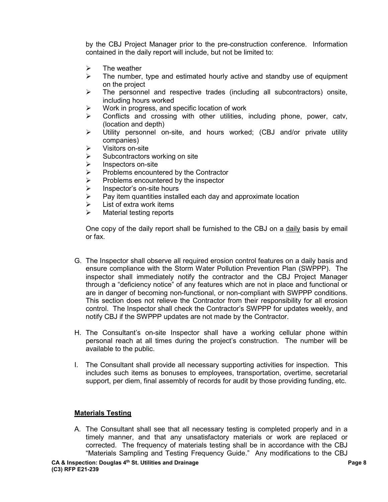by the CBJ Project Manager prior to the pre-construction conference. Information contained in the daily report will include, but not be limited to:

- $\triangleright$  The weather
- $\triangleright$  The number, type and estimated hourly active and standby use of equipment on the project
- $\triangleright$  The personnel and respective trades (including all subcontractors) onsite, including hours worked
- $\triangleright$  Work in progress, and specific location of work
- $\triangleright$  Conflicts and crossing with other utilities, including phone, power, catv, (location and depth)
- Utility personnel on-site, and hours worked; (CBJ and/or private utility companies)
- $\triangleright$  Visitors on-site
- $\triangleright$  Subcontractors working on site
- $\triangleright$  Inspectors on-site
- $\triangleright$  Problems encountered by the Contractor
- $\triangleright$  Problems encountered by the inspector<br>  $\triangleright$  Inspector's on-site hours
- $\geq$  Inspector's on-site hours<br> $\geq$  Pav item quantities install
- Pay item quantities installed each day and approximate location
- $\triangleright$  List of extra work items
- $\triangleright$  Material testing reports

One copy of the daily report shall be furnished to the CBJ on a daily basis by email or fax.

- G. The Inspector shall observe all required erosion control features on a daily basis and ensure compliance with the Storm Water Pollution Prevention Plan (SWPPP). The inspector shall immediately notify the contractor and the CBJ Project Manager through a "deficiency notice" of any features which are not in place and functional or are in danger of becoming non-functional, or non-compliant with SWPPP conditions. This section does not relieve the Contractor from their responsibility for all erosion control. The Inspector shall check the Contractor's SWPPP for updates weekly, and notify CBJ if the SWPPP updates are not made by the Contractor.
- H. The Consultant's on-site Inspector shall have a working cellular phone within personal reach at all times during the project's construction. The number will be available to the public.
- I. The Consultant shall provide all necessary supporting activities for inspection. This includes such items as bonuses to employees, transportation, overtime, secretarial support, per diem, final assembly of records for audit by those providing funding, etc.

## **Materials Testing**

A. The Consultant shall see that all necessary testing is completed properly and in a timely manner, and that any unsatisfactory materials or work are replaced or corrected. The frequency of materials testing shall be in accordance with the CBJ "Materials Sampling and Testing Frequency Guide." Any modifications to the CBJ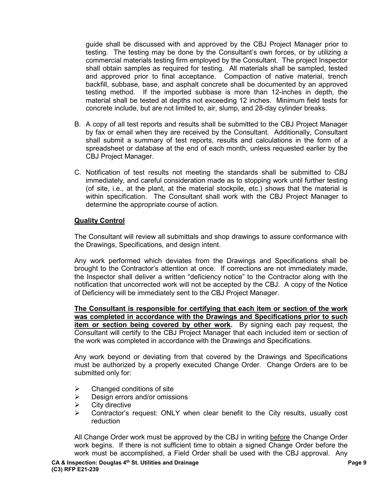guide shall be discussed with and approved by the CBJ Project Manager prior to testing. The testing may be done by the Consultant's own forces, or by utilizing a commercial materials testing firm employed by the Consultant. The project Inspector shall obtain samples as required for testing. All materials shall be sampled, tested and approved prior to final acceptance. Compaction of native material, trench backfill, subbase, base, and asphalt concrete shall be documented by an approved testing method. If the imported subbase is more than 12-inches in depth, the material shall be tested at depths not exceeding 12 inches. Minimum field tests for concrete include, but are not limited to, air, slump, and 28-day cylinder breaks.

- B. A copy of all test reports and results shall be submitted to the CBJ Project Manager by fax or email when they are received by the Consultant. Additionally, Consultant shall submit a summary of test reports, results and calculations in the form of a spreadsheet or database at the end of each month, unless requested earlier by the CBJ Project Manager.
- C. Notification of test results not meeting the standards shall be submitted to CBJ immediately, and careful consideration made as to stopping work until further testing (of site, i.e., at the plant, at the material stockpile, etc.) shows that the material is within specification. The Consultant shall work with the CBJ Project Manager to determine the appropriate course of action.

#### **Quality Control**

The Consultant will review all submittals and shop drawings to assure conformance with the Drawings, Specifications, and design intent.

Any work performed which deviates from the Drawings and Specifications shall be brought to the Contractor's attention at once. If corrections are not immediately made, the Inspector shall deliver a written "deficiency notice" to the Contractor along with the notification that uncorrected work will not be accepted by the CBJ. A copy of the Notice of Deficiency will be immediately sent to the CBJ Project Manager.

**The Consultant is responsible for certifying that each item or section of the work was completed in accordance with the Drawings and Specifications prior to such item or section being covered by other work.** By signing each pay request, the Consultant will certify to the CBJ Project Manager that each included item or section of the work was completed in accordance with the Drawings and Specifications.

Any work beyond or deviating from that covered by the Drawings and Specifications must be authorized by a properly executed Change Order. Change Orders are to be submitted only for:

- $\triangleright$  Changed conditions of site
- $\triangleright$  Design errors and/or omissions
- $\triangleright$  City directive
- $\triangleright$  Contractor's request: ONLY when clear benefit to the City results, usually cost reduction

All Change Order work must be approved by the CBJ in writing before the Change Order work begins. If there is not sufficient time to obtain a signed Change Order before the work must be accomplished, a Field Order shall be used with the CBJ approval. Any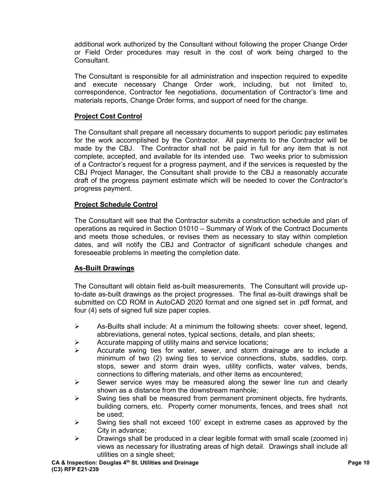additional work authorized by the Consultant without following the proper Change Order or Field Order procedures may result in the cost of work being charged to the Consultant.

The Consultant is responsible for all administration and inspection required to expedite and execute necessary Change Order work, including, but not limited to, correspondence, Contractor fee negotiations, documentation of Contractor's time and materials reports, Change Order forms, and support of need for the change.

## **Project Cost Control**

The Consultant shall prepare all necessary documents to support periodic pay estimates for the work accomplished by the Contractor. All payments to the Contractor will be made by the CBJ. The Contractor shall not be paid in full for any item that is not complete, accepted, and available for its intended use. Two weeks prior to submission of a Contractor's request for a progress payment, and if the services is requested by the CBJ Project Manager, the Consultant shall provide to the CBJ a reasonably accurate draft of the progress payment estimate which will be needed to cover the Contractor's progress payment.

# **Project Schedule Control**

The Consultant will see that the Contractor submits a construction schedule and plan of operations as required in Section 01010 – Summary of Work of the Contract Documents and meets those schedules, or revises them as necessary to stay within completion dates, and will notify the CBJ and Contractor of significant schedule changes and foreseeable problems in meeting the completion date.

## **As-Built Drawings**

The Consultant will obtain field as-built measurements. The Consultant will provide upto-date as-built drawings as the project progresses. The final as-built drawings shall be submitted on CD ROM in AutoCAD 2020 format and one signed set in .pdf format, and four (4) sets of signed full size paper copies.

- $\triangleright$  As-Builts shall include: At a minimum the following sheets: cover sheet, legend, abbreviations, general notes, typical sections, details, and plan sheets;
- $\triangleright$  Accurate mapping of utility mains and service locations;
- $\triangleright$  Accurate swing ties for water, sewer, and storm drainage are to include a minimum of two (2) swing ties to service connections, stubs, saddles, corp. stops, sewer and storm drain wyes, utility conflicts, water valves, bends, connections to differing materials, and other items as encountered;
- $\triangleright$  Sewer service wyes may be measured along the sewer line run and clearly shown as a distance from the downstream manhole;
- $\triangleright$  Swing ties shall be measured from permanent prominent objects, fire hydrants, building corners, etc. Property corner monuments, fences, and trees shall not be used;
- $\triangleright$  Swing ties shall not exceed 100' except in extreme cases as approved by the City in advance;
- $\triangleright$  Drawings shall be produced in a clear legible format with small scale (zoomed in) views as necessary for illustrating areas of high detail. Drawings shall include all utilities on a single sheet;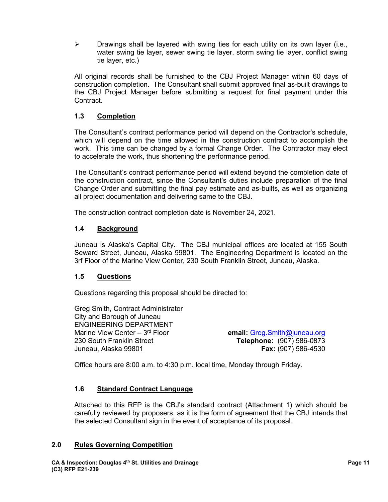$\triangleright$  Drawings shall be layered with swing ties for each utility on its own layer (i.e., water swing tie layer, sewer swing tie layer, storm swing tie layer, conflict swing tie layer, etc.)

All original records shall be furnished to the CBJ Project Manager within 60 days of construction completion. The Consultant shall submit approved final as-built drawings to the CBJ Project Manager before submitting a request for final payment under this Contract.

## **1.3 Completion**

The Consultant's contract performance period will depend on the Contractor's schedule, which will depend on the time allowed in the construction contract to accomplish the work. This time can be changed by a formal Change Order. The Contractor may elect to accelerate the work, thus shortening the performance period.

The Consultant's contract performance period will extend beyond the completion date of the construction contract, since the Consultant's duties include preparation of the final Change Order and submitting the final pay estimate and as-builts, as well as organizing all project documentation and delivering same to the CBJ.

The construction contract completion date is November 24, 2021.

## **1.4 Background**

Juneau is Alaska's Capital City. The CBJ municipal offices are located at 155 South Seward Street, Juneau, Alaska 99801. The Engineering Department is located on the 3rf Floor of the Marine View Center, 230 South Franklin Street, Juneau, Alaska.

## **1.5 Questions**

Questions regarding this proposal should be directed to:

Greg Smith, Contract Administrator City and Borough of Juneau ENGINEERING DEPARTMENT Marine View Center – 3rd Floor **email:** [Greg.Smith@juneau.org](mailto:Greg.Smith@juneau.org) 230 South Franklin Street **Telephone:** (907) 586-0873 Juneau, Alaska 99801 **Fax:** (907) 586-4530

Office hours are 8:00 a.m. to 4:30 p.m. local time, Monday through Friday.

## **1.6 Standard Contract Language**

Attached to this RFP is the CBJ's standard contract (Attachment 1) which should be carefully reviewed by proposers, as it is the form of agreement that the CBJ intends that the selected Consultant sign in the event of acceptance of its proposal.

## **2.0 Rules Governing Competition**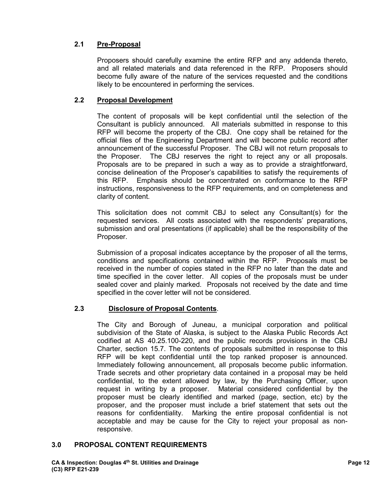# **2.1 Pre-Proposal**

Proposers should carefully examine the entire RFP and any addenda thereto, and all related materials and data referenced in the RFP. Proposers should become fully aware of the nature of the services requested and the conditions likely to be encountered in performing the services.

## **2.2 Proposal Development**

The content of proposals will be kept confidential until the selection of the Consultant is publicly announced. All materials submitted in response to this RFP will become the property of the CBJ. One copy shall be retained for the official files of the Engineering Department and will become public record after announcement of the successful Proposer. The CBJ will not return proposals to the Proposer. The CBJ reserves the right to reject any or all proposals. Proposals are to be prepared in such a way as to provide a straightforward, concise delineation of the Proposer's capabilities to satisfy the requirements of this RFP. Emphasis should be concentrated on conformance to the RFP instructions, responsiveness to the RFP requirements, and on completeness and clarity of content.

This solicitation does not commit CBJ to select any Consultant(s) for the requested services. All costs associated with the respondents' preparations, submission and oral presentations (if applicable) shall be the responsibility of the Proposer.

Submission of a proposal indicates acceptance by the proposer of all the terms, conditions and specifications contained within the RFP. Proposals must be received in the number of copies stated in the RFP no later than the date and time specified in the cover letter. All copies of the proposals must be under sealed cover and plainly marked. Proposals not received by the date and time specified in the cover letter will not be considered.

# **2.3 Disclosure of Proposal Contents**.

The City and Borough of Juneau, a municipal corporation and political subdivision of the State of Alaska, is subject to the Alaska Public Records Act codified at AS 40.25.100-220, and the public records provisions in the CBJ Charter, section 15.7. The contents of proposals submitted in response to this RFP will be kept confidential until the top ranked proposer is announced. Immediately following announcement, all proposals become public information. Trade secrets and other proprietary data contained in a proposal may be held confidential, to the extent allowed by law, by the Purchasing Officer, upon request in writing by a proposer. Material considered confidential by the proposer must be clearly identified and marked (page, section, etc) by the proposer, and the proposer must include a brief statement that sets out the reasons for confidentiality. Marking the entire proposal confidential is not acceptable and may be cause for the City to reject your proposal as nonresponsive.

## **3.0 PROPOSAL CONTENT REQUIREMENTS**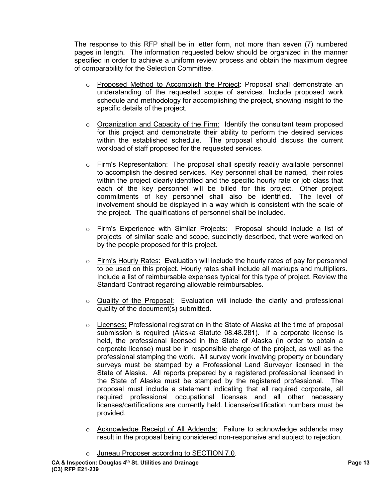The response to this RFP shall be in letter form, not more than seven (7) numbered pages in length. The information requested below should be organized in the manner specified in order to achieve a uniform review process and obtain the maximum degree of comparability for the Selection Committee.

- o Proposed Method to Accomplish the Project: Proposal shall demonstrate an understanding of the requested scope of services. Include proposed work schedule and methodology for accomplishing the project, showing insight to the specific details of the project.
- $\circ$  Organization and Capacity of the Firm: Identify the consultant team proposed for this project and demonstrate their ability to perform the desired services within the established schedule. The proposal should discuss the current workload of staff proposed for the requested services.
- o Firm's Representation: The proposal shall specify readily available personnel to accomplish the desired services. Key personnel shall be named, their roles within the project clearly identified and the specific hourly rate or job class that each of the key personnel will be billed for this project. Other project commitments of key personnel shall also be identified. The level of involvement should be displayed in a way which is consistent with the scale of the project. The qualifications of personnel shall be included.
- o Firm's Experience with Similar Projects: Proposal should include a list of projects of similar scale and scope, succinctly described, that were worked on by the people proposed for this project.
- o Firm's Hourly Rates: Evaluation will include the hourly rates of pay for personnel to be used on this project. Hourly rates shall include all markups and multipliers. Include a list of reimbursable expenses typical for this type of project. Review the Standard Contract regarding allowable reimbursables.
- $\circ$  Quality of the Proposal: Evaluation will include the clarity and professional quality of the document(s) submitted.
- $\circ$  Licenses: Professional registration in the State of Alaska at the time of proposal submission is required (Alaska Statute 08.48.281). If a corporate license is held, the professional licensed in the State of Alaska (in order to obtain a corporate license) must be in responsible charge of the project, as well as the professional stamping the work. All survey work involving property or boundary surveys must be stamped by a Professional Land Surveyor licensed in the State of Alaska. All reports prepared by a registered professional licensed in the State of Alaska must be stamped by the registered professional. The proposal must include a statement indicating that all required corporate, all required professional occupational licenses and all other necessary licenses/certifications are currently held. License/certification numbers must be provided.
- o Acknowledge Receipt of All Addenda: Failure to acknowledge addenda may result in the proposal being considered non-responsive and subject to rejection.
- o Juneau Proposer according to SECTION 7.0.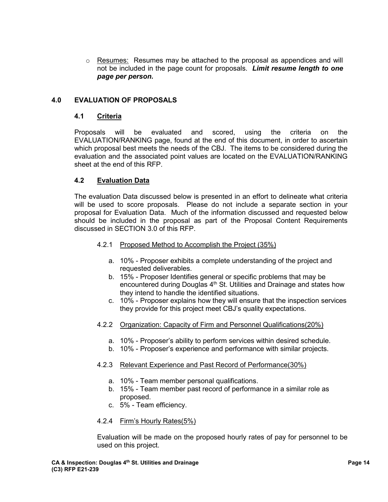$\circ$  Resumes: Resumes may be attached to the proposal as appendices and will not be included in the page count for proposals. *Limit resume length to one page per person.*

## **4.0 EVALUATION OF PROPOSALS**

#### **4.1 Criteria**

Proposals will be evaluated and scored, using the criteria on the EVALUATION/RANKING page, found at the end of this document, in order to ascertain which proposal best meets the needs of the CBJ. The items to be considered during the evaluation and the associated point values are located on the EVALUATION/RANKING sheet at the end of this RFP.

## **4.2 Evaluation Data**

The evaluation Data discussed below is presented in an effort to delineate what criteria will be used to score proposals. Please do not include a separate section in your proposal for Evaluation Data. Much of the information discussed and requested below should be included in the proposal as part of the Proposal Content Requirements discussed in SECTION 3.0 of this RFP.

- 4.2.1 Proposed Method to Accomplish the Project (35%)
	- a. 10% Proposer exhibits a complete understanding of the project and requested deliverables.
	- b. 15% Proposer Identifies general or specific problems that may be encountered during Douglas  $4<sup>th</sup>$  St. Utilities and Drainage and states how they intend to handle the identified situations.
	- c. 10% Proposer explains how they will ensure that the inspection services they provide for this project meet CBJ's quality expectations.
- 4.2.2 Organization: Capacity of Firm and Personnel Qualifications(20%)
	- a. 10% Proposer's ability to perform services within desired schedule.
	- b. 10% Proposer's experience and performance with similar projects.

## 4.2.3 Relevant Experience and Past Record of Performance(30%)

- a. 10% Team member personal qualifications.
- b. 15% Team member past record of performance in a similar role as proposed.
- c. 5% Team efficiency.

#### 4.2.4 Firm's Hourly Rates(5%)

Evaluation will be made on the proposed hourly rates of pay for personnel to be used on this project.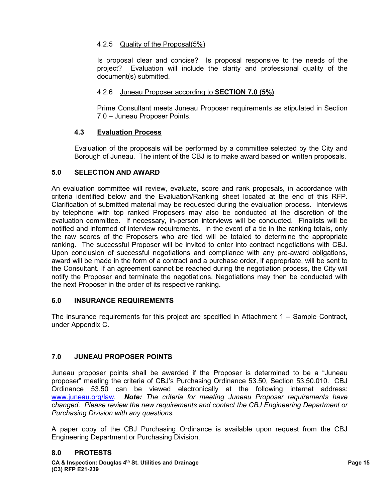# 4.2.5 Quality of the Proposal(5%)

Is proposal clear and concise? Is proposal responsive to the needs of the project? Evaluation will include the clarity and professional quality of the document(s) submitted.

## 4.2.6 Juneau Proposer according to **SECTION 7.0 (5%)**

Prime Consultant meets Juneau Proposer requirements as stipulated in Section 7.0 – Juneau Proposer Points.

## **4.3 Evaluation Process**

Evaluation of the proposals will be performed by a committee selected by the City and Borough of Juneau. The intent of the CBJ is to make award based on written proposals.

## **5.0 SELECTION AND AWARD**

An evaluation committee will review, evaluate, score and rank proposals, in accordance with criteria identified below and the Evaluation/Ranking sheet located at the end of this RFP. Clarification of submitted material may be requested during the evaluation process. Interviews by telephone with top ranked Proposers may also be conducted at the discretion of the evaluation committee. If necessary, in-person interviews will be conducted. Finalists will be notified and informed of interview requirements. In the event of a tie in the ranking totals, only the raw scores of the Proposers who are tied will be totaled to determine the appropriate ranking. The successful Proposer will be invited to enter into contract negotiations with CBJ. Upon conclusion of successful negotiations and compliance with any pre-award obligations, award will be made in the form of a contract and a purchase order, if appropriate, will be sent to the Consultant. If an agreement cannot be reached during the negotiation process, the City will notify the Proposer and terminate the negotiations. Negotiations may then be conducted with the next Proposer in the order of its respective ranking.

## **6.0 INSURANCE REQUIREMENTS**

The insurance requirements for this project are specified in Attachment 1 – Sample Contract, under Appendix C.

## **7.0 JUNEAU PROPOSER POINTS**

Juneau proposer points shall be awarded if the Proposer is determined to be a "Juneau proposer" meeting the criteria of CBJ's Purchasing Ordinance 53.50, Section 53.50.010. CBJ Ordinance 53.50 can be viewed electronically at the following internet address: [www.juneau.org/law.](http://www.juneau.org/law) *Note: The criteria for meeting Juneau Proposer requirements have changed. Please review the new requirements and contact the CBJ Engineering Department or Purchasing Division with any questions.* 

A paper copy of the CBJ Purchasing Ordinance is available upon request from the CBJ Engineering Department or Purchasing Division.

## **8.0 PROTESTS**

**CA & Inspection: Douglas 4th St. Utilities and Drainage Page 15 (C3) RFP E21-239**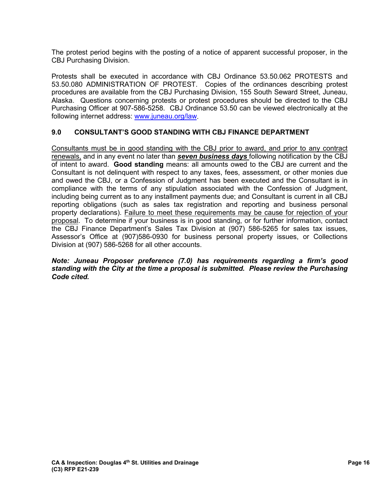The protest period begins with the posting of a notice of apparent successful proposer, in the CBJ Purchasing Division.

Protests shall be executed in accordance with CBJ Ordinance 53.50.062 PROTESTS and 53.50.080 ADMINISTRATION OF PROTEST. Copies of the ordinances describing protest procedures are available from the CBJ Purchasing Division, 155 South Seward Street, Juneau, Alaska. Questions concerning protests or protest procedures should be directed to the CBJ Purchasing Officer at 907-586-5258. CBJ Ordinance 53.50 can be viewed electronically at the following internet address: [www.juneau.org/law.](http://www.juneau.org/law)

# **9.0 CONSULTANT'S GOOD STANDING WITH CBJ FINANCE DEPARTMENT**

Consultants must be in good standing with the CBJ prior to award, and prior to any contract renewals, and in any event no later than *seven business days* following notification by the CBJ of intent to award. **Good standing** means: all amounts owed to the CBJ are current and the Consultant is not delinquent with respect to any taxes, fees, assessment, or other monies due and owed the CBJ, or a Confession of Judgment has been executed and the Consultant is in compliance with the terms of any stipulation associated with the Confession of Judgment, including being current as to any installment payments due; and Consultant is current in all CBJ reporting obligations (such as sales tax registration and reporting and business personal property declarations). Failure to meet these requirements may be cause for rejection of your proposal. To determine if your business is in good standing, or for further information, contact the CBJ Finance Department's Sales Tax Division at (907) 586-5265 for sales tax issues, Assessor's Office at (907)586-0930 for business personal property issues, or Collections Division at (907) 586-5268 for all other accounts.

#### *Note: Juneau Proposer preference (7.0) has requirements regarding a firm's good standing with the City at the time a proposal is submitted. Please review the Purchasing Code cited.*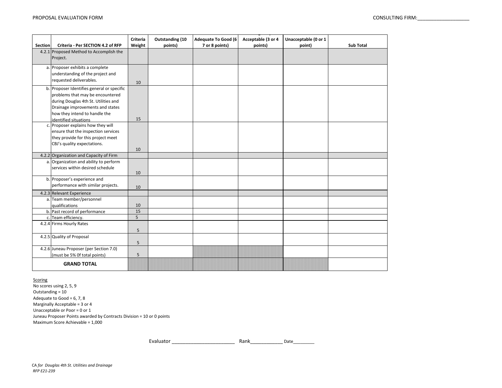| <b>Section</b> | Criteria - Per SECTION 4.2 of RFP                                                                                                                                                                                    | <b>Criteria</b><br>Weight | Outstanding (10<br>points) | <b>Adequate To Good (6)</b><br>7 or 8 points) | Acceptable (3 or 4<br>points) | Unacceptable (0 or 1<br>point) | <b>Sub Total</b> |
|----------------|----------------------------------------------------------------------------------------------------------------------------------------------------------------------------------------------------------------------|---------------------------|----------------------------|-----------------------------------------------|-------------------------------|--------------------------------|------------------|
|                | 4.2.1 Proposed Method to Accomplish the<br>Project.                                                                                                                                                                  |                           |                            |                                               |                               |                                |                  |
|                | a. Proposer exhibits a complete<br>understanding of the project and<br>requested deliverables.                                                                                                                       | 10                        |                            |                                               |                               |                                |                  |
|                | b. Proposer Identifies general or specific<br>problems that may be encountered<br>during Douglas 4th St. Utilities and<br>Drainage improvements and states<br>how they intend to handle the<br>identified situations | 15                        |                            |                                               |                               |                                |                  |
|                | c. Proposer explains how they will<br>ensure that the inspection services<br>they provide for this project meet<br>CBJ's quality expectations.                                                                       | 10                        |                            |                                               |                               |                                |                  |
|                | 4.2.2 Organization and Capacity of Firm                                                                                                                                                                              |                           |                            |                                               |                               |                                |                  |
|                | a. Organization and ability to perform<br>services within desired schedule                                                                                                                                           | 10                        |                            |                                               |                               |                                |                  |
|                | b. Proposer's experience and<br>performance with similar projects.                                                                                                                                                   | 10                        |                            |                                               |                               |                                |                  |
|                | 4.2.3 Relevant Experience                                                                                                                                                                                            |                           |                            |                                               |                               |                                |                  |
|                | a. Team member/personnel<br>qualifications                                                                                                                                                                           | 10                        |                            |                                               |                               |                                |                  |
|                | b. Past record of performance                                                                                                                                                                                        | 15                        |                            |                                               |                               |                                |                  |
|                | c. Team efficiency.                                                                                                                                                                                                  | 5                         |                            |                                               |                               |                                |                  |
|                | 4.2.4 Firms Hourly Rates                                                                                                                                                                                             | 5                         |                            |                                               |                               |                                |                  |
|                | 4.2.5 Quality of Proposal                                                                                                                                                                                            | 5                         |                            |                                               |                               |                                |                  |
|                | 4.2.6 Juneau Proposer (per Section 7.0)<br>(must be 5% Of total points)                                                                                                                                              | 5                         |                            |                                               |                               |                                |                  |
|                | <b>GRAND TOTAL</b>                                                                                                                                                                                                   |                           |                            |                                               |                               |                                |                  |

**Scoring** 

No scores using 2, 5, 9 Maximum Score Achievable = 1,000 Juneau Proposer Points awarded by Contracts Division = 10 or 0 points Outstanding = 10 Adequate to Good =  $6, 7, 8$ Marginally Acceptable = 3 or 4 Unacceptable or Poor = 0 or 1

Rank\_\_\_\_\_\_\_\_\_\_\_\_ Date\_\_\_\_\_\_\_\_\_ Evaluator \_\_\_\_\_\_\_\_\_\_\_\_\_\_\_\_\_\_\_\_\_\_\_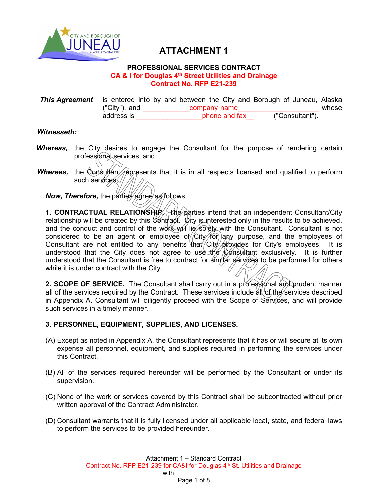

# **ATTACHMENT 1**

#### **PROFESSIONAL SERVICES CONTRACT CA & I for Douglas 4th Street Utilities and Drainage Contract No. RFP E21-239**

**This Agreement** is entered into by and between the City and Borough of Juneau, Alaska<br>Company name vhose whose ("City"), and \_\_\_\_\_\_\_\_\_\_\_\_company name\_\_\_\_\_\_\_\_\_\_\_\_\_\_\_\_\_\_\_\_\_ whose address is \_\_\_\_\_\_\_\_\_\_\_\_\_\_\_\_\_phone and fax\_\_ ("Consultant").

## *Witnesseth:*

- **Whereas,** the City desires to engage the Consultant for the purpose of rendering certain professional services, and
- *Whereas,* the Consultant represents that it is in all respects licensed and qualified to perform such services //

*Now, Therefore, the parties agree as follows:* 

**1. CONTRACTUAL RELATIONSHIP.** The parties intend that an independent Consultant/City relationship will be created by this Contract. City is interested only in the results to be achieved, and the conduct and control of the work will lie solely with the Consultant. Consultant is not considered to be an agent or employee of  $/$ City $/$ for) any purpose, and the employees of Consultant are not entitled to any benefits that  $\frac{1}{2}$  City  $\frac{1}{2}$  frovides for City's employees. It is understood that the City does not agree to use the Consultant exclusively. It is further understood that the Consultant is free to contract for similar services to be performed for others while it is under contract with the City.

2. SCOPE OF SERVICE. The Consultant shall carry out in a professional and prudent manner all of the services required by the Contract. These services include  $\frac{d}{dt}$  of the services described in Appendix A. Consultant will diligently proceed with the Scope of Services, and will provide such services in a timely manner.

## **3. PERSONNEL, EQUIPMENT, SUPPLIES, AND LICENSES.**

- (A) Except as noted in Appendix A, the Consultant represents that it has or will secure at its own expense all personnel, equipment, and supplies required in performing the services under this Contract.
- (B) All of the services required hereunder will be performed by the Consultant or under its supervision.
- (C) None of the work or services covered by this Contract shall be subcontracted without prior written approval of the Contract Administrator.
- (D) Consultant warrants that it is fully licensed under all applicable local, state, and federal laws to perform the services to be provided hereunder.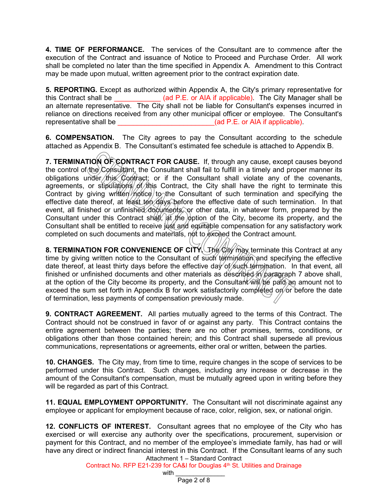**4. TIME OF PERFORMANCE.** The services of the Consultant are to commence after the execution of the Contract and issuance of Notice to Proceed and Purchase Order. All work shall be completed no later than the time specified in Appendix A. Amendment to this Contract may be made upon mutual, written agreement prior to the contract expiration date.

**5. REPORTING.** Except as authorized within Appendix A, the City's primary representative for this Contract shall be  $(ad P.E. or AIA if applicable)$ . The City Manager shall be an alternate representative. The City shall not be liable for Consultant's expenses incurred in reliance on directions received from any other municipal officer or employee. The Consultant's representative shall be  $($ ad P.E. or AIA if applicable).

**6. COMPENSATION.** The City agrees to pay the Consultant according to the schedule attached as Appendix B. The Consultant's estimated fee schedule is attached to Appendix B.

**7. TERMINATION OF CONTRACT FOR CAUSE.** If, through any cause, except causes beyond the control of the Consultant, the Consultant shall fail to fulfill in a timely and proper manner its obligations under this Contract; or if the Consultant shall violate any of the covenants, agreements, or stipulations of this Contract, the City shall have the right to terminate this Contract by giving written notice to the Consultant of such termination and specifying the effective date thereof, at least ten days before the effective date of such termination. In that event, all finished or unfinished documents, or other data, in whatever form, prepared by the Consultant under this Contract shall,  $\frac{1}{2}$  the  $\frac{1}{2}$  option of the City, become its property, and the Consultant shall be entitled to receive just and equitable compensation for any satisfactory work completed on such documents and materials, not to exceed the Contract amount.

**8. TERMINATION FOR CONVENIENCE OF CITY.** The City of Agy terminate this Contract at any time by giving written notice to the Consultant of such termination and specifying the effective date thereof, at least thirty days before the effective day of such termination. In that event, all finished or unfinished documents and other materials as described in paragraph 7 above shall, at the option of the City become its property, and the Consultant  $\hat{w}$   $\hat{w}$   $\hat{p}$   $\hat{p}$  an amount not to exceed the sum set forth in Appendix B for work satisfactorily completed on or before the date of termination, less payments of compensation previously made.

**9. CONTRACT AGREEMENT.** All parties mutually agreed to the terms of this Contract. The Contract should not be construed in favor of or against any party. This Contract contains the entire agreement between the parties; there are no other promises, terms, conditions, or obligations other than those contained herein; and this Contract shall supersede all previous communications, representations or agreements, either oral or written, between the parties.

**10. CHANGES.** The City may, from time to time, require changes in the scope of services to be performed under this Contract. Such changes, including any increase or decrease in the amount of the Consultant's compensation, must be mutually agreed upon in writing before they will be regarded as part of this Contract.

**11. EQUAL EMPLOYMENT OPPORTUNITY.** The Consultant will not discriminate against any employee or applicant for employment because of race, color, religion, sex, or national origin.

Attachment 1 – Standard Contract **12. CONFLICTS OF INTEREST.** Consultant agrees that no employee of the City who has exercised or will exercise any authority over the specifications, procurement, supervision or payment for this Contract, and no member of the employee's immediate family, has had or will have any direct or indirect financial interest in this Contract. If the Consultant learns of any such

Contract No. RFP E21-239 for CA&I for Douglas 4<sup>th</sup> St. Utilities and Drainage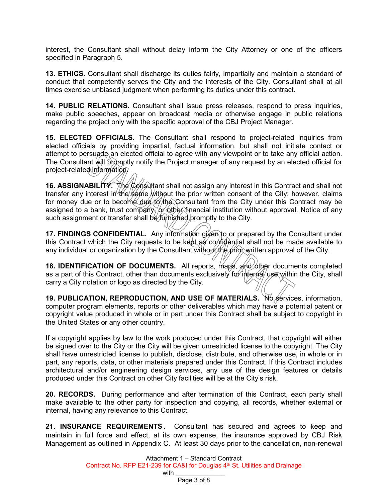interest, the Consultant shall without delay inform the City Attorney or one of the officers specified in Paragraph 5.

**13. ETHICS.** Consultant shall discharge its duties fairly, impartially and maintain a standard of conduct that competently serves the City and the interests of the City. Consultant shall at all times exercise unbiased judgment when performing its duties under this contract.

**14. PUBLIC RELATIONS.** Consultant shall issue press releases, respond to press inquiries, make public speeches, appear on broadcast media or otherwise engage in public relations regarding the project only with the specific approval of the CBJ Project Manager.

**15. ELECTED OFFICIALS.** The Consultant shall respond to project-related inquiries from elected officials by providing impartial, factual information, but shall not initiate contact or attempt to persuade an elected official to agree with any viewpoint or to take any official action. The Consultant will promptly notify the Project manager of any request by an elected official for project-related information.

**16. ASSIGNABILITY.** The Consultant shall not assign any interest in this Contract and shall not transfer any interest in the same without the prior written consent of the City; however, claims for money due or to become due to the Consultant from the City under this Contract may be assigned to a bank, trust company, or other financial institution without approval. Notice of any such assignment or transfer shall be *furnished* promptly to the City.

**17. FINDINGS CONFIDENTIAL.** Any information given to or prepared by the Consultant under this Contract which the City requests to be kept as confidential shall not be made available to any individual or organization by the Consultant without the prior written approval of the City.

**18. IDENTIFICATION OF DOCUMENTS.** All reports, maps, and other documents completed as a part of this Contract, other than documents exclusively for internal use within the City, shall carry a City notation or logo as directed by the City.

**19. PUBLICATION, REPRODUCTION, AND USE OF MATERIALS.** No services, information, computer program elements, reports or other deliverables which may have a potential patent or copyright value produced in whole or in part under this Contract shall be subject to copyright in the United States or any other country.

If a copyright applies by law to the work produced under this Contract, that copyright will either be signed over to the City or the City will be given unrestricted license to the copyright. The City shall have unrestricted license to publish, disclose, distribute, and otherwise use, in whole or in part, any reports, data, or other materials prepared under this Contract. If this Contract includes architectural and/or engineering design services, any use of the design features or details produced under this Contract on other City facilities will be at the City's risk.

**20. RECORDS.** During performance and after termination of this Contract, each party shall make available to the other party for inspection and copying, all records, whether external or internal, having any relevance to this Contract.

**21. INSURANCE REQUIREMENTS.** Consultant has secured and agrees to keep and maintain in full force and effect, at its own expense, the insurance approved by CBJ Risk Management as outlined in Appendix C. At least 30 days prior to the cancellation, non-renewal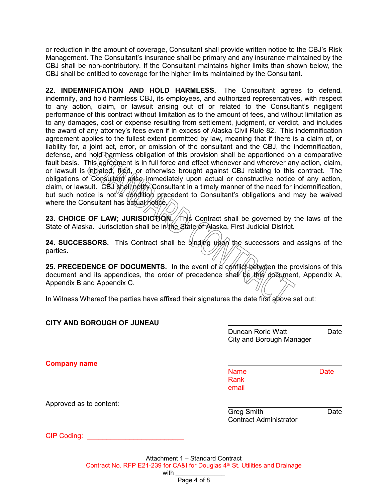or reduction in the amount of coverage, Consultant shall provide written notice to the CBJ's Risk Management. The Consultant's insurance shall be primary and any insurance maintained by the CBJ shall be non-contributory. If the Consultant maintains higher limits than shown below, the CBJ shall be entitled to coverage for the higher limits maintained by the Consultant.

**22. INDEMNIFICATION AND HOLD HARMLESS.** The Consultant agrees to defend, indemnify, and hold harmless CBJ, its employees, and authorized representatives, with respect to any action, claim, or lawsuit arising out of or related to the Consultant's negligent performance of this contract without limitation as to the amount of fees, and without limitation as to any damages, cost or expense resulting from settlement, judgment, or verdict, and includes the award of any attorney's fees even if in excess of Alaska Civil Rule 82. This indemnification agreement applies to the fullest extent permitted by law, meaning that if there is a claim of, or liability for, a joint act, error, or omission of the consultant and the CBJ, the indemnification, defense, and hold harmless obligation of this provision shall be apportioned on a comparative fault basis. This agreement is in full force and effect whenever and wherever any action, claim, or lawsuit is  $\oint$ nitiated, filed, or otherwise brought against CBJ relating to this contract. The obligations of Consultant arise immediately upon actual or constructive notice of any action, claim, or lawsuit. CBJ shall notify Consultant in a timely manner of the need for indemnification, but such notice is not a condition precedent to Consultant's obligations and may be waived where the Consultant has actual notice.

**23. CHOICE OF LAW; JURISDICTION. This Contract shall be governed by the laws of the** State of Alaska. Jurisdiction shall be in the State of Alaska, First Judicial District.

**24. SUCCESSORS.** This Contract shall be binding upon the successors and assigns of the parties.

**25. PRECEDENCE OF DOCUMENTS.** In the event of a conflict between the provisions of this document and its appendices, the order of precedence shall be this document, Appendix A, Appendix B and Appendix C.

In Witness Whereof the parties have affixed their signatures the date first above set out:

| <b>CITY AND BOROUGH OF JUNEAU</b> |                                                      |      |
|-----------------------------------|------------------------------------------------------|------|
|                                   | Duncan Rorie Watt<br><b>City and Borough Manager</b> | Date |
| <b>Company name</b>               |                                                      |      |
|                                   | <b>Name</b><br><b>Rank</b><br>email                  | Date |
| Approved as to content:           |                                                      |      |
|                                   | <b>Greg Smith</b><br><b>Contract Administrator</b>   | Date |
| <b>CIP Coding:</b>                |                                                      |      |
|                                   |                                                      |      |

Attachment 1 – Standard Contract Contract No. RFP E21-239 for CA&I for Douglas 4th St. Utilities and Drainage with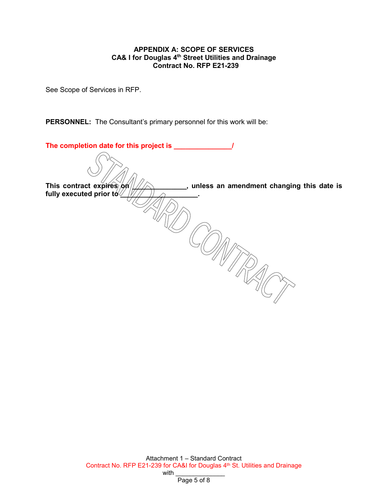#### **APPENDIX A: SCOPE OF SERVICES CA& I for Douglas 4th Street Utilities and Drainage Contract No. RFP E21-239**

See Scope of Services in RFP.

**PERSONNEL:** The Consultant's primary personnel for this work will be:

| The completion date for this project is ____ |                                           |
|----------------------------------------------|-------------------------------------------|
|                                              |                                           |
| This contract expires on<br>$\mathbf{r}$     | unless an amendment changing this date is |
| fully executed prior to $\sqrt{2}$           |                                           |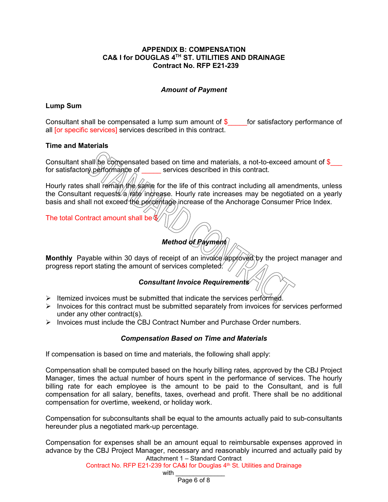#### **APPENDIX B: COMPENSATION CA& I for DOUGLAS 4TH ST. UTILITIES AND DRAINAGE Contract No. RFP E21-239**

## *Amount of Payment*

## **Lump Sum**

Consultant shall be compensated a lump sum amount of  $\$\$  for satisfactory performance of all [or specific services] services described in this contract.

## **Time and Materials**

Consultant shall be compensated based on time and materials, a not-to-exceed amount of  $\$$ for satisfactory performance of services described in this contract.

Hourly rates shall remain the same for the life of this contract including all amendments, unless the Consultant requests/a/rate increase. Hourly rate increases may be negotiated on a yearly basis and shall not exceed the percentage increase of the Anchorage Consumer Price Index.

The total Contract amount shall be \$

# *Method of Payment*

Monthly Payable within 30 days of receipt of an involce approved by the project manager and progress report stating the amount of services completed. /

## *Consultant Invoice Requirements*

- $\triangleright$  Itemized invoices must be submitted that indicate the services performed.
- $\triangleright$  Invoices for this contract must be submitted separately from invoices for services performed under any other contract(s).
- $\triangleright$  Invoices must include the CBJ Contract Number and Purchase Order numbers.

## *Compensation Based on Time and Materials*

If compensation is based on time and materials, the following shall apply:

Compensation shall be computed based on the hourly billing rates, approved by the CBJ Project Manager, times the actual number of hours spent in the performance of services. The hourly billing rate for each employee is the amount to be paid to the Consultant, and is full compensation for all salary, benefits, taxes, overhead and profit. There shall be no additional compensation for overtime, weekend, or holiday work.

Compensation for subconsultants shall be equal to the amounts actually paid to sub-consultants hereunder plus a negotiated mark-up percentage.

Attachment 1 – Standard Contract Compensation for expenses shall be an amount equal to reimbursable expenses approved in advance by the CBJ Project Manager, necessary and reasonably incurred and actually paid by

Contract No. RFP E21-239 for CA&I for Douglas 4th St. Utilities and Drainage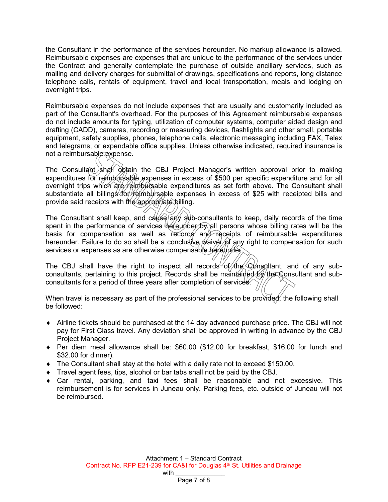the Consultant in the performance of the services hereunder. No markup allowance is allowed. Reimbursable expenses are expenses that are unique to the performance of the services under the Contract and generally contemplate the purchase of outside ancillary services, such as mailing and delivery charges for submittal of drawings, specifications and reports, long distance telephone calls, rentals of equipment, travel and local transportation, meals and lodging on overnight trips.

Reimbursable expenses do not include expenses that are usually and customarily included as part of the Consultant's overhead. For the purposes of this Agreement reimbursable expenses do not include amounts for typing, utilization of computer systems, computer aided design and drafting (CADD), cameras, recording or measuring devices, flashlights and other small, portable equipment, safety supplies, phones, telephone calls, electronic messaging including FAX, Telex and telegrams, or expendable office supplies. Unless otherwise indicated, required insurance is not a reimbursable expense.

The Consultant shall obtain the CBJ Project Manager's written approval prior to making expenditures for reimbursable expenses in excess of \$500 per specific expenditure and for all overnight trips which are reimbursable expenditures as set forth above. The Consultant shall substantiate all billings for reimbursable expenses in excess of \$25 with receipted bills and provide said receipts with the appropriate billing.

The Consultant shall keep, and cause any sub-consultants to keep, daily records of the time spent in the performance of services hereunder by all persons whose billing rates will be the basis for compensation as well as records and receipts of reimbursable expenditures hereunder. Failure to do so shall be a conclusive *waiver* of any right to compensation for such services or expenses as are otherwise compensable hereunder.

The CBJ shall have the right to inspect all records of the Consultant, and of any subconsultants, pertaining to this project. Records shall be maintained by the Consultant and subconsultants for a period of three years after completion of services.

When travel is necessary as part of the professional services to be provided, the following shall be followed:

- ♦ Airline tickets should be purchased at the 14 day advanced purchase price. The CBJ will not pay for First Class travel. Any deviation shall be approved in writing in advance by the CBJ Project Manager.
- ♦ Per diem meal allowance shall be: \$60.00 (\$12.00 for breakfast, \$16.00 for lunch and \$32.00 for dinner).
- ♦ The Consultant shall stay at the hotel with a daily rate not to exceed \$150.00.
- ♦ Travel agent fees, tips, alcohol or bar tabs shall not be paid by the CBJ.
- $\bullet$  Car rental, parking, and taxi fees shall be reasonable and not excessive. This reimbursement is for services in Juneau only. Parking fees, etc. outside of Juneau will not be reimbursed.